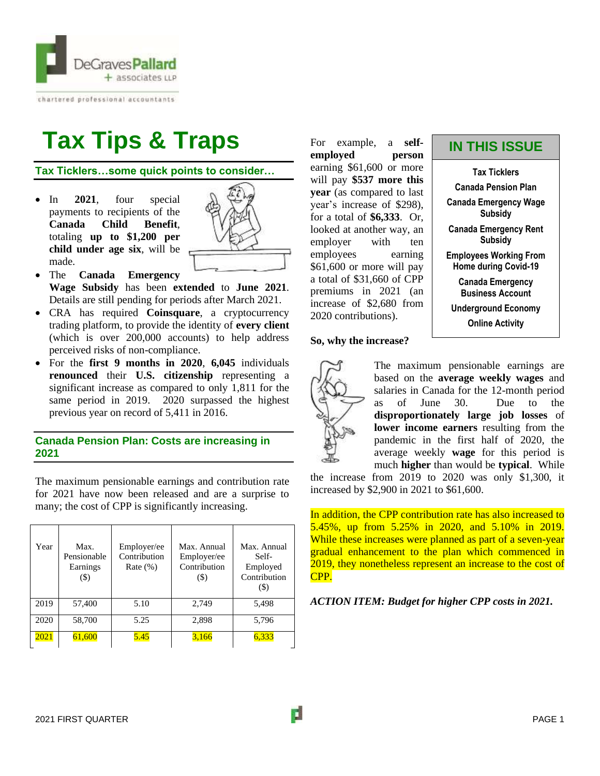

chartered professional accountants

# **Tax Tips & Traps**

**Tax Ticklers…some quick points to consider…**

• In **2021**, four special payments to recipients of the **Canada Child Benefit**, totaling **up to \$1,200 per child under age six**, will be made.



- The **Canada Emergency Wage Subsidy** has been **extended** to **June 2021**. Details are still pending for periods after March 2021.
- CRA has required **Coinsquare**, a cryptocurrency trading platform, to provide the identity of **every client** (which is over 200,000 accounts) to help address perceived risks of non-compliance.
- For the **first 9 months in 2020**, **6,045** individuals **renounced** their **U.S. citizenship** representing a significant increase as compared to only 1,811 for the same period in 2019. 2020 surpassed the highest previous year on record of 5,411 in 2016.

# **Canada Pension Plan: Costs are increasing in 2021**

The maximum pensionable earnings and contribution rate for 2021 have now been released and are a surprise to many; the cost of CPP is significantly increasing.

| Year | Max.<br>Pensionable<br>Earnings<br>$($ \$) | Employer/ee<br>Contribution<br>Rate $(\%)$ | Max. Annual<br>Employer/ee<br>Contribution<br>$($ \$) | Max. Annual<br>Self-<br>Employed<br>Contribution<br>$\left( \text{\$}\right)$ |
|------|--------------------------------------------|--------------------------------------------|-------------------------------------------------------|-------------------------------------------------------------------------------|
| 2019 | 57,400                                     | 5.10                                       | 2,749                                                 | 5,498                                                                         |
| 2020 | 58,700                                     | 5.25                                       | 2,898                                                 | 5,796                                                                         |
| 2021 | 61,600                                     | 5.45                                       | 3,166                                                 | 6,333                                                                         |

For example, a **selfemployed person** earning \$61,600 or more will pay **\$537 more this year** (as compared to last year's increase of \$298), for a total of **\$6,333**. Or, looked at another way, an employer with ten employees earning \$61,600 or more will pay a total of \$31,660 of CPP premiums in 2021 (an increase of \$2,680 from 2020 contributions).

# **So, why the increase?**



The maximum pensionable earnings are based on the **average weekly wages** and salaries in Canada for the 12-month period as of June 30. Due to the **disproportionately large job losses** of **lower income earners** resulting from the pandemic in the first half of 2020, the average weekly **wage** for this period is much **higher** than would be **typical**. While

the increase from 2019 to 2020 was only \$1,300, it increased by \$2,900 in 2021 to \$61,600.

In addition, the CPP contribution rate has also increased to 5.45%, up from 5.25% in 2020, and 5.10% in 2019. While these increases were planned as part of a seven-year gradual enhancement to the plan which commenced in 2019, they nonetheless represent an increase to the cost of CPP.

*ACTION ITEM: Budget for higher CPP costs in 2021.*

**Tax Ticklers Canada Pension Plan Canada Emergency Wage Subsidy Canada Emergency Rent Subsidy Employees Working From Home during Covid-19 Canada Emergency Business Account Underground Economy Online Activity**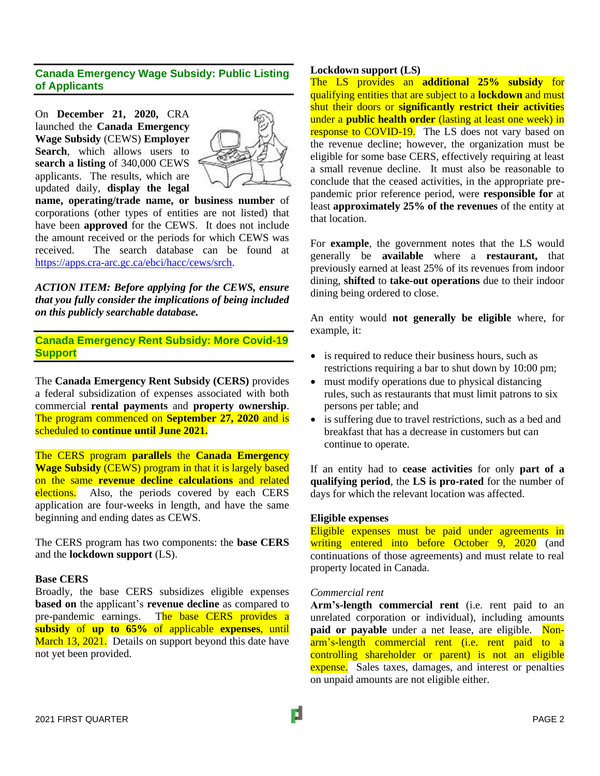# **Canada Emergency Wage Subsidy: Public Listing of Applicants**

On **December 21, 2020,** CRA launched the **Canada Emergency Wage Subsidy** (CEWS) **Employer Search**, which allows users to **search a listing** of 340,000 CEWS applicants. The results, which are updated daily, **display the legal** 



**name, operating/trade name, or business number** of corporations (other types of entities are not listed) that have been **approved** for the CEWS. It does not include the amount received or the periods for which CEWS was received. The search database can be found at [https://apps.cra-arc.gc.ca/ebci/hacc/cews/srch.](https://apps.cra-arc.gc.ca/ebci/hacc/cews/srch)

*ACTION ITEM: Before applying for the CEWS, ensure that you fully consider the implications of being included on this publicly searchable database.*

**Canada Emergency Rent Subsidy: More Covid-19 Support**

The **Canada Emergency Rent Subsidy (CERS)** provides a federal subsidization of expenses associated with both commercial **rental payments** and **property ownership**. The program commenced on **September 27, 2020** and is scheduled to **continue until June 2021.**

The CERS program **parallels** the **Canada Emergency Wage Subsidy** (CEWS) program in that it is largely based on the same **revenue decline calculations** and related elections. Also, the periods covered by each CERS application are four-weeks in length, and have the same beginning and ending dates as CEWS.

The CERS program has two components: the **base CERS** and the **lockdown support** (LS).

## **Base CERS**

Broadly, the base CERS subsidizes eligible expenses **based on** the applicant's **revenue decline** as compared to pre-pandemic earnings. The base CERS provides a **subsidy** of **up to 65%** of applicable **expenses**, until March 13, 2021. Details on support beyond this date have not yet been provided.

# **Lockdown support (LS)**

The LS provides an **additional 25% subsidy** for qualifying entities that are subject to a **lockdown** and must shut their doors or **significantly restrict their activitie**s under a **public health order** (lasting at least one week) in response to COVID-19. The LS does not vary based on the revenue decline; however, the organization must be eligible for some base CERS, effectively requiring at least a small revenue decline. It must also be reasonable to conclude that the ceased activities, in the appropriate prepandemic prior reference period, were **responsible for** at least **approximately 25% of the revenues** of the entity at that location.

For **example**, the government notes that the LS would generally be **available** where a **restaurant,** that previously earned at least 25% of its revenues from indoor dining, **shifted** to **take-out operations** due to their indoor dining being ordered to close.

An entity would **not generally be eligible** where, for example, it:

- is required to reduce their business hours, such as restrictions requiring a bar to shut down by 10:00 pm;
- must modify operations due to physical distancing rules, such as restaurants that must limit patrons to six persons per table; and
- is suffering due to travel restrictions, such as a bed and breakfast that has a decrease in customers but can continue to operate.

If an entity had to **cease activities** for only **part of a qualifying period**, the **LS is pro-rated** for the number of days for which the relevant location was affected.

## **Eligible expenses**

Eligible expenses must be paid under agreements in writing entered into before October 9, 2020 (and continuations of those agreements) and must relate to real property located in Canada.

## *Commercial rent*

**Arm's-length commercial rent** (i.e. rent paid to an unrelated corporation or individual), including amounts **paid or payable** under a net lease, are eligible. Nonarm's-length commercial rent (i.e. rent paid to a controlling shareholder or parent) is not an eligible expense. Sales taxes, damages, and interest or penalties on unpaid amounts are not eligible either.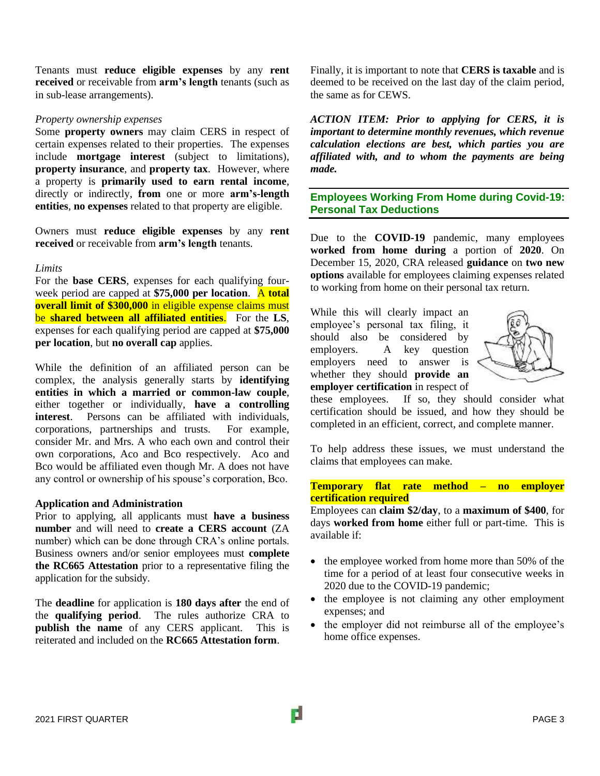Tenants must **reduce eligible expenses** by any **rent received** or receivable from **arm's length** tenants (such as in sub-lease arrangements).

### *Property ownership expenses*

Some **property owners** may claim CERS in respect of certain expenses related to their properties. The expenses include **mortgage interest** (subject to limitations), **property insurance**, and **property tax**. However, where a property is **primarily used to earn rental income**, directly or indirectly, **from** one or more **arm's-length entities**, **no expenses** related to that property are eligible.

Owners must **reduce eligible expenses** by any **rent received** or receivable from **arm's length** tenants.

#### *Limits*

For the **base CERS**, expenses for each qualifying fourweek period are capped at **\$75,000 per location**. A **total overall limit of \$300,000** in eligible expense claims must be **shared between all affiliated entities**. For the **LS**, expenses for each qualifying period are capped at **\$75,000 per location**, but **no overall cap** applies.

While the definition of an affiliated person can be complex, the analysis generally starts by **identifying entities in which a married or common-law couple**, either together or individually, **have a controlling interest**. Persons can be affiliated with individuals, corporations, partnerships and trusts. For example, consider Mr. and Mrs. A who each own and control their own corporations, Aco and Bco respectively. Aco and Bco would be affiliated even though Mr. A does not have any control or ownership of his spouse's corporation, Bco.

#### **Application and Administration**

Prior to applying, all applicants must **have a business number** and will need to **create a CERS account** (ZA number) which can be done through CRA's online portals. Business owners and/or senior employees must **complete the RC665 Attestation** prior to a representative filing the application for the subsidy.

The **deadline** for application is **180 days after** the end of the **qualifying period**. The rules authorize CRA to **publish the name** of any CERS applicant. This is reiterated and included on the **RC665 Attestation form**.

Finally, it is important to note that **CERS is taxable** and is deemed to be received on the last day of the claim period, the same as for CEWS.

*ACTION ITEM: Prior to applying for CERS, it is important to determine monthly revenues, which revenue calculation elections are best, which parties you are affiliated with, and to whom the payments are being made.* 

**Employees Working From Home during Covid-19: Personal Tax Deductions**

Due to the **COVID-19** pandemic, many employees **worked from home during** a portion of **2020**. On December 15, 2020, CRA released **guidance** on **two new options** available for employees claiming expenses related to working from home on their personal tax return.

While this will clearly impact an employee's personal tax filing, it should also be considered by employers. A key question employers need to answer is whether they should **provide an employer certification** in respect of



these employees. If so, they should consider what certification should be issued, and how they should be completed in an efficient, correct, and complete manner.

To help address these issues, we must understand the claims that employees can make.

# **Temporary flat rate method – no employer certification required**

Employees can **claim \$2/day**, to a **maximum of \$400**, for days **worked from home** either full or part-time. This is available if:

- the employee worked from home more than 50% of the time for a period of at least four consecutive weeks in 2020 due to the COVID-19 pandemic;
- the employee is not claiming any other employment expenses; and
- the employer did not reimburse all of the employee's home office expenses.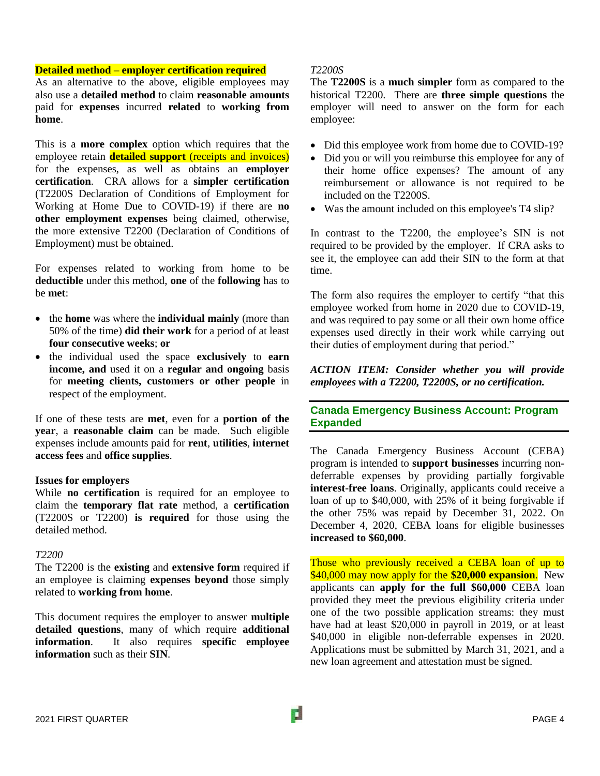#### **Detailed method – employer certification required**

As an alternative to the above, eligible employees may also use a **detailed method** to claim **reasonable amounts** paid for **expenses** incurred **related** to **working from home**.

This is a **more complex** option which requires that the employee retain **detailed support** (receipts and invoices) for the expenses, as well as obtains an **employer certification**. CRA allows for a **simpler certification** (T2200S Declaration of Conditions of Employment for Working at Home Due to COVID-19) if there are **no other employment expenses** being claimed, otherwise, the more extensive T2200 (Declaration of Conditions of Employment) must be obtained.

For expenses related to working from home to be **deductible** under this method, **one** of the **following** has to be **met**:

- the **home** was where the **individual mainly** (more than 50% of the time) **did their work** for a period of at least **four consecutive weeks**; **or**
- the individual used the space **exclusively** to **earn income, and** used it on a **regular and ongoing** basis for **meeting clients, customers or other people** in respect of the employment.

If one of these tests are **met**, even for a **portion of the year**, a **reasonable claim** can be made. Such eligible expenses include amounts paid for **rent**, **utilities**, **internet access fees** and **office supplies**.

## **Issues for employers**

While **no certification** is required for an employee to claim the **temporary flat rate** method, a **certification** (T2200S or T2200) **is required** for those using the detailed method.

#### *T2200*

The T2200 is the **existing** and **extensive form** required if an employee is claiming **expenses beyond** those simply related to **working from home**.

This document requires the employer to answer **multiple detailed questions**, many of which require **additional information**. It also requires **specific employee information** such as their **SIN**.

#### *T2200S*

The **T2200S** is a **much simpler** form as compared to the historical T2200. There are **three simple questions** the employer will need to answer on the form for each employee:

- Did this employee work from home due to COVID-19?
- Did you or will you reimburse this employee for any of their home office expenses? The amount of any reimbursement or allowance is not required to be included on the T2200S.
- Was the amount included on this employee's T4 slip?

In contrast to the T2200, the employee's SIN is not required to be provided by the employer. If CRA asks to see it, the employee can add their SIN to the form at that time.

The form also requires the employer to certify "that this employee worked from home in 2020 due to COVID-19, and was required to pay some or all their own home office expenses used directly in their work while carrying out their duties of employment during that period."

*ACTION ITEM: Consider whether you will provide employees with a T2200, T2200S, or no certification.*

**Canada Emergency Business Account: Program Expanded**

The Canada Emergency Business Account (CEBA) program is intended to **support businesses** incurring nondeferrable expenses by providing partially forgivable **interest-free loans**. Originally, applicants could receive a loan of up to \$40,000, with 25% of it being forgivable if the other 75% was repaid by December 31, 2022. On [December 4, 2020,](https://www.canada.ca/en/department-finance/news/2020/12/government-expands-canada-emergency-business-account-loans.html) CEBA loans for eligible businesses **increased to \$60,000**.

Those who previously received a CEBA loan of up to \$40,000 may now apply for the **\$20,000 expansion**. New applicants can **apply for the full \$60,000** CEBA loan provided they meet the previous eligibility criteria under one of the two possible application streams: they must have had at least \$20,000 in payroll in 2019, or at least \$40,000 in eligible non-deferrable expenses in 2020. Applications must be submitted by March 31, 2021, and a new loan agreement and attestation must be signed.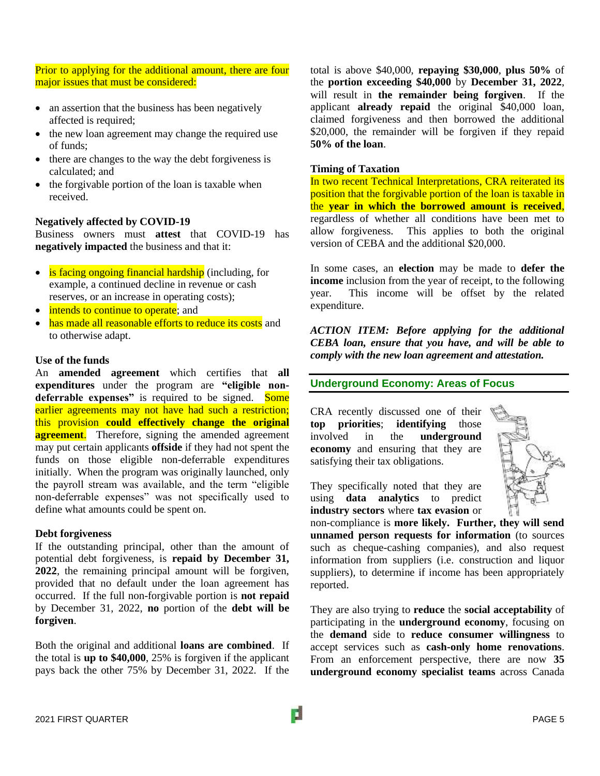Prior to applying for the additional amount, there are four major issues that must be considered:

- an assertion that the business has been negatively affected is required;
- the new loan agreement may change the required use of funds;
- there are changes to the way the debt forgiveness is calculated; and
- the forgivable portion of the loan is taxable when received.

## **Negatively affected by COVID-19**

Business owners must **attest** that COVID-19 has **negatively impacted** the business and that it:

- is facing ongoing financial hardship (including, for example, a continued decline in revenue or cash reserves, or an increase in operating costs);
- intends to continue to operate; and
- has made all reasonable efforts to reduce its costs and to otherwise adapt.

# **Use of the funds**

An **amended agreement** which certifies that **all expenditures** under the program are **"eligible non**deferrable expenses" is required to be signed. Some earlier agreements may not have had such a restriction; this provision **could effectively change the original agreement**. Therefore, signing the amended agreement may put certain applicants **offside** if they had not spent the funds on those eligible non-deferrable expenditures initially. When the program was originally launched, only the payroll stream was available, and the term "eligible non-deferrable expenses" was not specifically used to define what amounts could be spent on.

## **Debt forgiveness**

If the outstanding principal, other than the amount of potential debt forgiveness, is **repaid by December 31, 2022**, the remaining principal amount will be forgiven, provided that no default under the loan agreement has occurred. If the full non-forgivable portion is **not repaid** by December 31, 2022, **no** portion of the **debt will be forgiven**.

Both the original and additional **loans are combined**. If the total is **up to \$40,000**, 25% is forgiven if the applicant pays back the other 75% by December 31, 2022. If the

total is above \$40,000, **repaying \$30,000**, **plus 50%** of the **portion exceeding \$40,000** by **December 31, 2022**, will result in **the remainder being forgiven**. If the applicant **already repaid** the original \$40,000 loan, claimed forgiveness and then borrowed the additional \$20,000, the remainder will be forgiven if they repaid **50% of the loan**.

## **Timing of Taxation**

In two recent Technical Interpretations, CRA reiterated its position that the forgivable portion of the loan is taxable in the **year in which the borrowed amount is received**, regardless of whether all conditions have been met to allow forgiveness. This applies to both the original version of CEBA and the additional \$20,000.

In some cases, an **election** may be made to **defer the income** inclusion from the year of receipt, to the following year. This income will be offset by the related expenditure.

*ACTION ITEM: Before applying for the additional CEBA loan, ensure that you have, and will be able to comply with the new loan agreement and attestation.*

# **Underground Economy: Areas of Focus**

CRA recently discussed one of their **top priorities**; **identifying** those involved in the **underground economy** and ensuring that they are satisfying their tax obligations.



They specifically noted that they are using **data analytics** to predict **industry sectors** where **tax evasion** or

non-compliance is **more likely. Further, they will send unnamed person requests for information** (to sources such as cheque-cashing companies), and also request information from suppliers (i.e. construction and liquor suppliers), to determine if income has been appropriately reported.

They are also trying to **reduce** the **social acceptability** of participating in the **underground economy**, focusing on the **demand** side to **reduce consumer willingness** to accept services such as **cash-only home renovations**. From an enforcement perspective, there are now **35 underground economy specialist teams** across Canada